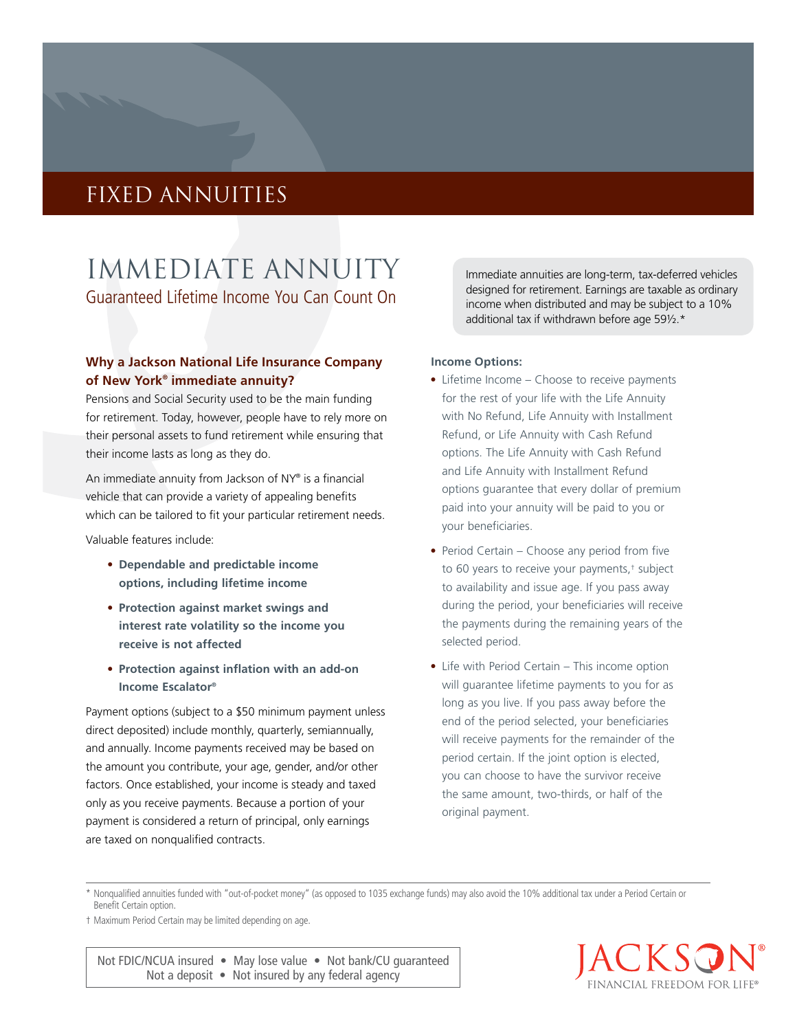# fixed annuities

Immediate annuity Guaranteed Lifetime Income You Can Count On

### **Why a Jackson National Life Insurance Company of New York® immediate annuity?**

Pensions and Social Security used to be the main funding for retirement. Today, however, people have to rely more on their personal assets to fund retirement while ensuring that their income lasts as long as they do.

An immediate annuity from Jackson of NY® is a financial vehicle that can provide a variety of appealing benefits which can be tailored to fit your particular retirement needs.

Valuable features include:

- **Dependable and predictable income options, including lifetime income**
- **Protection against market swings and interest rate volatility so the income you receive is not affected**
- **Protection against inflation with an add-on Income Escalator®**

Payment options (subject to a \$50 minimum payment unless direct deposited) include monthly, quarterly, semiannually, and annually. Income payments received may be based on the amount you contribute, your age, gender, and/or other factors. Once established, your income is steady and taxed only as you receive payments. Because a portion of your payment is considered a return of principal, only earnings are taxed on nonqualified contracts.

Immediate annuities are long-term, tax-deferred vehicles designed for retirement. Earnings are taxable as ordinary income when distributed and may be subject to a 10% additional tax if withdrawn before age 59½.\*

#### **Income Options:**

- Lifetime Income Choose to receive payments for the rest of your life with the Life Annuity with No Refund, Life Annuity with Installment Refund, or Life Annuity with Cash Refund options. The Life Annuity with Cash Refund and Life Annuity with Installment Refund options guarantee that every dollar of premium paid into your annuity will be paid to you or your beneficiaries.
- Period Certain Choose any period from five to 60 years to receive your payments,† subject to availability and issue age. If you pass away during the period, your beneficiaries will receive the payments during the remaining years of the selected period.
- Life with Period Certain This income option will guarantee lifetime payments to you for as long as you live. If you pass away before the end of the period selected, your beneficiaries will receive payments for the remainder of the period certain. If the joint option is elected, you can choose to have the survivor receive the same amount, two-thirds, or half of the original payment.

\* Nonqualified annuities funded with "out-of-pocket money" (as opposed to 1035 exchange funds) may also avoid the 10% additional tax under a Period Certain or Benefit Certain option.

† Maximum Period Certain may be limited depending on age.

Not FDIC/NCUA insured • May lose value • Not bank/CU guaranteed Not a deposit • Not insured by any federal agency

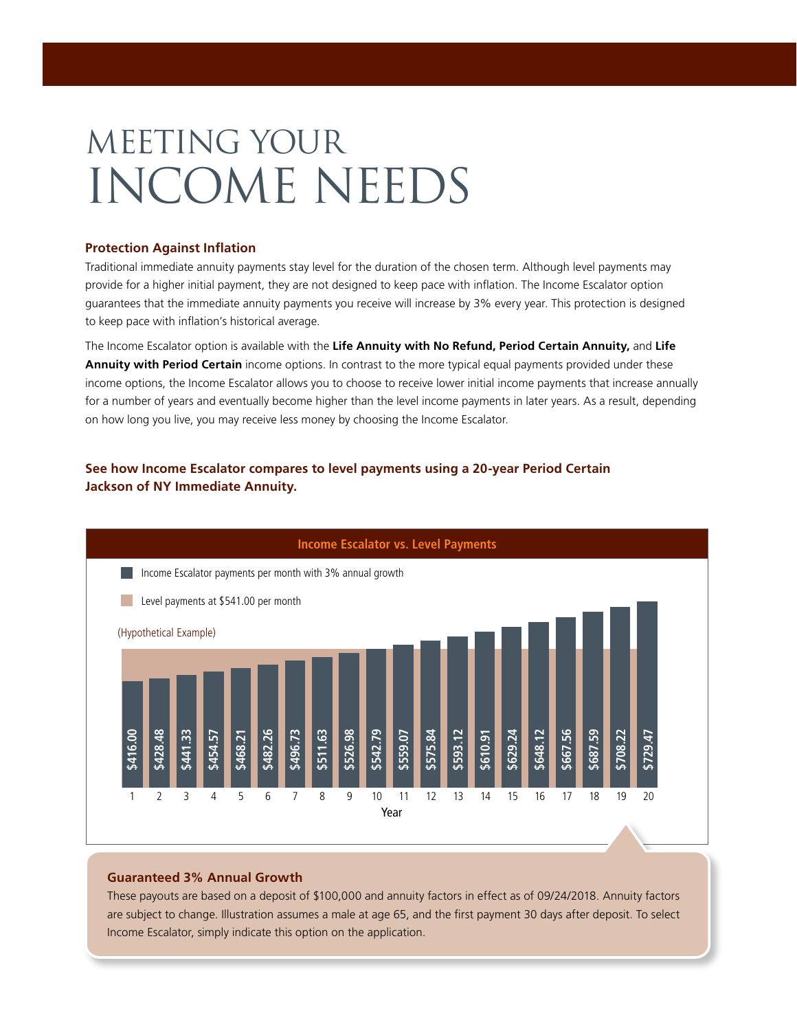# Meeting your income needs

#### **Protection Against Inflation**

Traditional immediate annuity payments stay level for the duration of the chosen term. Although level payments may provide for a higher initial payment, they are not designed to keep pace with inflation. The Income Escalator option guarantees that the immediate annuity payments you receive will increase by 3% every year. This protection is designed to keep pace with inflation's historical average.

The Income Escalator option is available with the **Life Annuity with No Refund, Period Certain Annuity,** and **Life Annuity with Period Certain** income options. In contrast to the more typical equal payments provided under these income options, the Income Escalator allows you to choose to receive lower initial income payments that increase annually for a number of years and eventually become higher than the level income payments in later years. As a result, depending on how long you live, you may receive less money by choosing the Income Escalator.

## **See how Income Escalator compares to level payments using a 20-year Period Certain Jackson of NY Immediate Annuity.**



#### **Guaranteed 3% Annual Growth**

These payouts are based on a deposit of \$100,000 and annuity factors in effect as of 09/24/2018. Annuity factors are subject to change. Illustration assumes a male at age 65, and the first payment 30 days after deposit. To select Income Escalator, simply indicate this option on the application.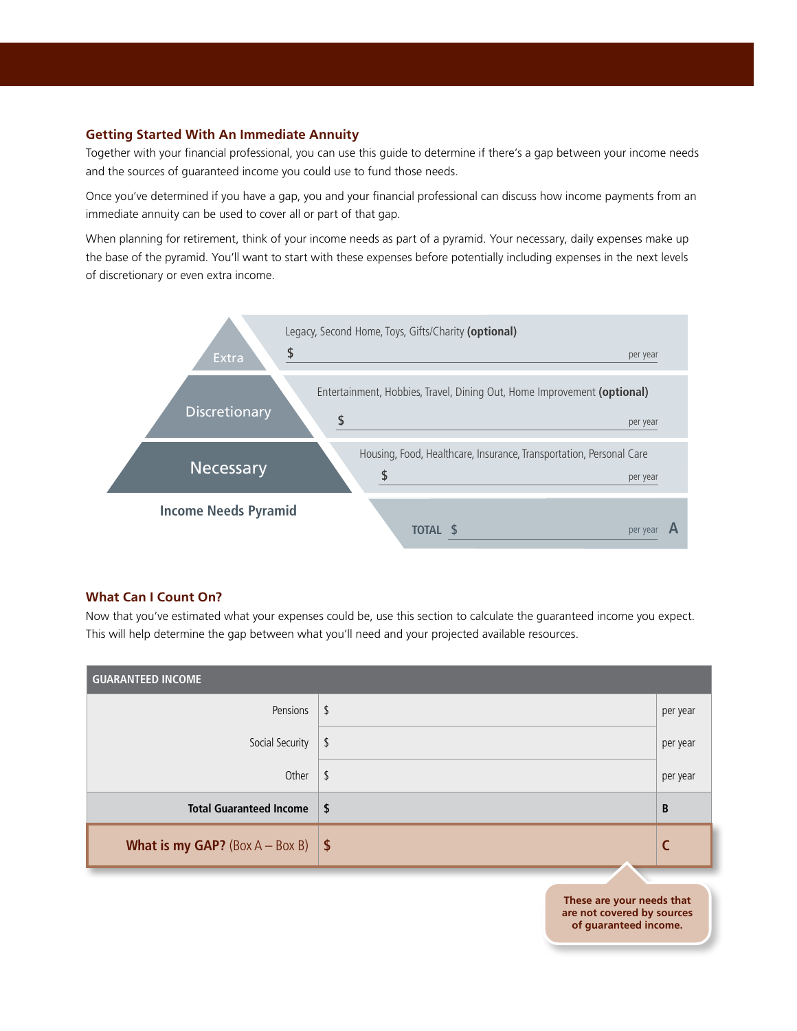#### **Getting Started With An Immediate Annuity**

Together with your financial professional, you can use this guide to determine if there's a gap between your income needs and the sources of guaranteed income you could use to fund those needs.

Once you've determined if you have a gap, you and your financial professional can discuss how income payments from an immediate annuity can be used to cover all or part of that gap.

When planning for retirement, think of your income needs as part of a pyramid. Your necessary, daily expenses make up the base of the pyramid. You'll want to start with these expenses before potentially including expenses in the next levels of discretionary or even extra income.



#### **What Can I Count On?**

Now that you've estimated what your expenses could be, use this section to calculate the guaranteed income you expect. This will help determine the gap between what you'll need and your projected available resources.

| <b>GUARANTEED INCOME</b>                       |                                                                                  |          |
|------------------------------------------------|----------------------------------------------------------------------------------|----------|
| Pensions                                       | \$                                                                               | per year |
| Social Security                                | \$                                                                               | per year |
| Other                                          | \$                                                                               | per year |
| <b>Total Guaranteed Income</b>                 | \$                                                                               | B        |
| <b>What is my GAP?</b> (Box $A - Box B$ )   \$ |                                                                                  |          |
|                                                | These are your needs that<br>are not covered by sources<br>of guaranteed income. |          |